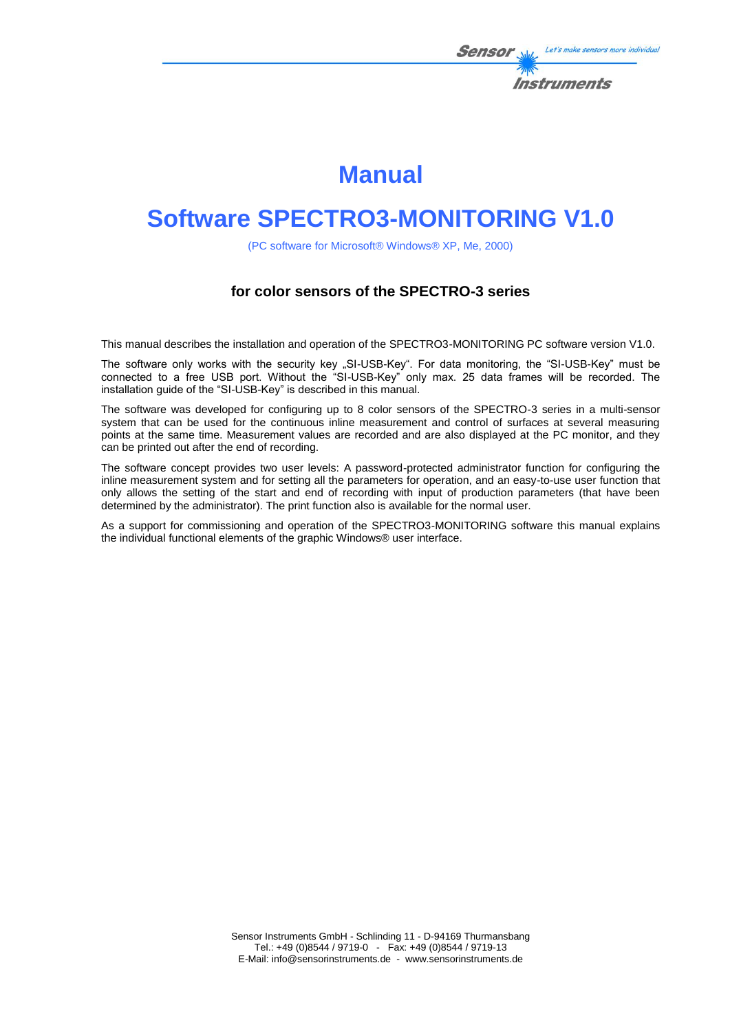

# **Manual**

# **Software SPECTRO3-MONITORING V1.0**

(PC software for Microsoft® Windows® XP, Me, 2000)

### **for color sensors of the SPECTRO-3 series**

This manual describes the installation and operation of the SPECTRO3-MONITORING PC software version V1.0.

The software only works with the security key "SI-USB-Key". For data monitoring, the "SI-USB-Key" must be connected to a free USB port. Without the "SI-USB-Key" only max. 25 data frames will be recorded. The installation guide of the "SI-USB-Key" is described in this manual.

The software was developed for configuring up to 8 color sensors of the SPECTRO-3 series in a multi-sensor system that can be used for the continuous inline measurement and control of surfaces at several measuring points at the same time. Measurement values are recorded and are also displayed at the PC monitor, and they can be printed out after the end of recording.

The software concept provides two user levels: A password-protected administrator function for configuring the inline measurement system and for setting all the parameters for operation, and an easy-to-use user function that only allows the setting of the start and end of recording with input of production parameters (that have been determined by the administrator). The print function also is available for the normal user.

As a support for commissioning and operation of the SPECTRO3-MONITORING software this manual explains the individual functional elements of the graphic Windows® user interface.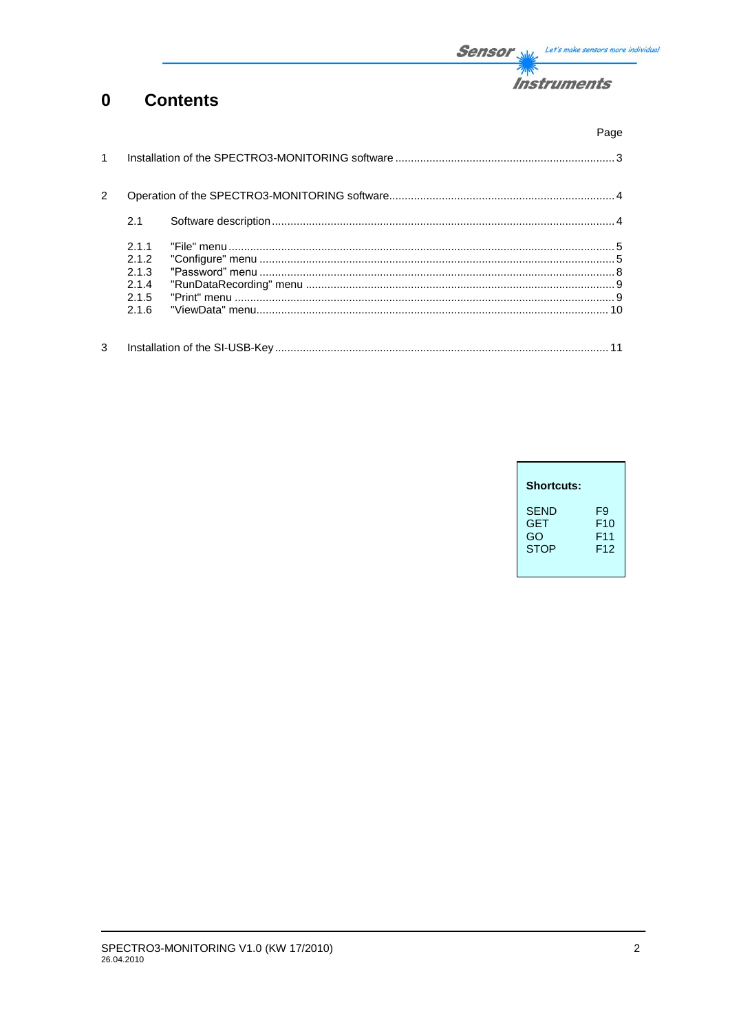

#### $\mathbf 0$ **Contents**

|               |                                                  | Page |
|---------------|--------------------------------------------------|------|
|               |                                                  |      |
| $\mathcal{P}$ |                                                  |      |
|               | 2.1                                              |      |
|               | 211<br>2.1.2<br>2.1.3<br>2.1.4<br>2.1.5<br>2.1.6 |      |
| 3             |                                                  |      |

| <b>Shortcuts:</b> |                 |
|-------------------|-----------------|
| <b>SEND</b>       | F9              |
| <b>GET</b>        | F <sub>10</sub> |
| GO                | F11             |
| <b>STOP</b>       | F12             |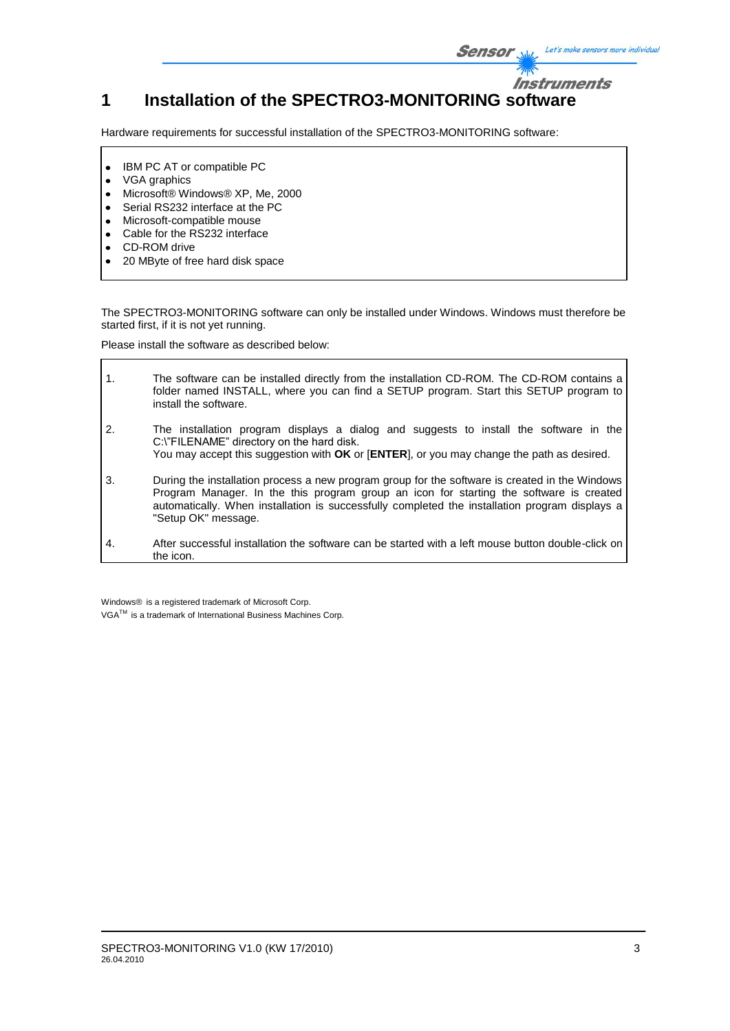

Hardware requirements for successful installation of the SPECTRO3-MONITORING software:

- IBM PC AT or compatible PC  $\bullet$
- VGA graphics  $\bullet$
- Microsoft® Windows® XP, Me, 2000  $\bullet$
- Serial RS232 interface at the PC  $\bullet$
- Microsoft-compatible mouse  $\bullet$
- Cable for the RS232 interface  $\bullet$
- CD-ROM drive  $\bullet$
- 20 MByte of free hard disk space

The SPECTRO3-MONITORING software can only be installed under Windows. Windows must therefore be started first, if it is not yet running.

Please install the software as described below:

| $\overline{1}$ . | The software can be installed directly from the installation CD-ROM. The CD-ROM contains a<br>folder named INSTALL, where you can find a SETUP program. Start this SETUP program to<br>install the software.                                                                                                       |
|------------------|--------------------------------------------------------------------------------------------------------------------------------------------------------------------------------------------------------------------------------------------------------------------------------------------------------------------|
| 2.               | The installation program displays a dialog and suggests to install the software in the<br>C:\"FILENAME" directory on the hard disk.<br>You may accept this suggestion with OK or [ENTER], or you may change the path as desired.                                                                                   |
| 3.               | During the installation process a new program group for the software is created in the Windows<br>Program Manager. In the this program group an icon for starting the software is created<br>automatically. When installation is successfully completed the installation program displays a<br>"Setup OK" message. |
| $\mathbf{A}$ .   | After successful installation the software can be started with a left mouse button double-click on<br>the icon.                                                                                                                                                                                                    |

Windows® is a registered trademark of Microsoft Corp.

VGA<sup>™</sup> is a trademark of International Business Machines Corp.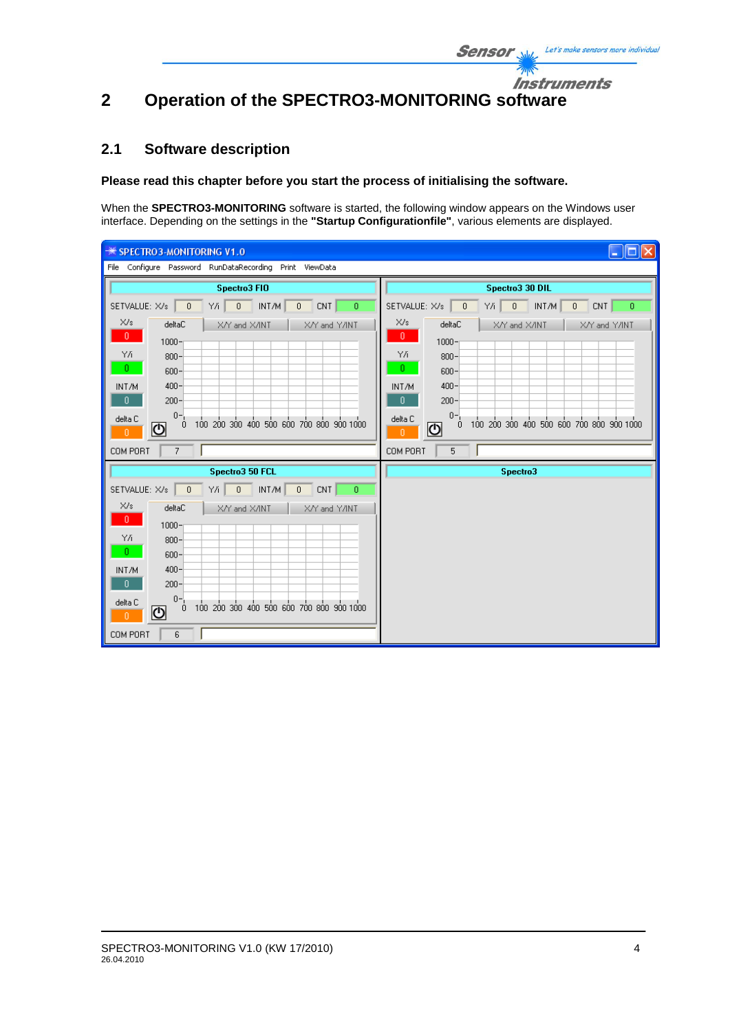### Instruments **2 Operation of the SPECTRO3-MONITORING software**

### **2.1 Software description**

### **Please read this chapter before you start the process of initialising the software.**

When the **SPECTRO3-MONITORING** software is started, the following window appears on the Windows user interface. Depending on the settings in the **"Startup Configurationfile"**, various elements are displayed.

| 101 X<br><b><del>■ SPECTRO3-MONITORING V1.0</del></b><br>н                                 |                                                                                              |  |  |  |
|--------------------------------------------------------------------------------------------|----------------------------------------------------------------------------------------------|--|--|--|
| File Configure Password RunDataRecording Print ViewData                                    |                                                                                              |  |  |  |
| Spectro3 FIO                                                                               | Spectro3 30 DIL                                                                              |  |  |  |
| $0$ NT/M<br>SETVALUE: X/s<br>$\mathbf{0}$<br>Y/i  <br>0<br>CNT<br>0                        | Y/i  <br>$0$ $\mid$ INT/M<br>SETVALUE: X/s<br>$\theta$<br>$\mathbf 0$<br>CNT<br>$\mathbf{0}$ |  |  |  |
| X/s<br>deltaC<br>X/Y and X/INT<br>X/Y and Y/INT                                            | X/s<br>deltaC<br>X/Y and X/INT<br>X/Y and Y/INT                                              |  |  |  |
| $0 -$<br>$1000 -$                                                                          | $\mathbf{0}$<br>$1000 -$                                                                     |  |  |  |
| YÆ.<br>$800 -$<br>$0 -$                                                                    | ΥÆ<br>$800 -$<br>$\theta$                                                                    |  |  |  |
| $600 -$<br>$400 -$<br>INT/M                                                                | $600 -$<br>$400 -$<br>INT/M                                                                  |  |  |  |
| $\mathbf{0}$<br>$200 -$                                                                    | $\mathbf{0}$<br>$200 -$                                                                      |  |  |  |
| $0 -$<br>delta C<br>100 200 300 400 500 600 700 800 900 1000<br>$\mathbf{0}$<br>⋓<br>$0^-$ | $0 -$<br>delta C<br>100 200 300 400 500 600 700 800 900 1000<br>0<br>୬<br>n.                 |  |  |  |
| COM PORT<br>$\overline{7}$                                                                 | COM PORT<br>5                                                                                |  |  |  |
| Spectro3 50 FCL                                                                            | Spectro3                                                                                     |  |  |  |
| Y/i 0 INT/M<br>SETVALUE: X/s<br>$\overline{0}$<br>$\overline{0}$<br>CNT<br>0               |                                                                                              |  |  |  |
| X/s<br>deltaC<br>X/Y and X/INT<br>X/Y and Y/INT                                            |                                                                                              |  |  |  |
| $0 -$<br>$1000 -$                                                                          |                                                                                              |  |  |  |
| Y/i<br>$800 -$<br>л.                                                                       |                                                                                              |  |  |  |
| $600 -$<br>$400 -$<br>INT/M                                                                |                                                                                              |  |  |  |
| $\mathbf{0}$<br>$200 -$                                                                    |                                                                                              |  |  |  |
| $0 -$<br>delta C<br>o 100 200 300 400 500 600 700 800 900 1000<br>ଏ<br>n                   |                                                                                              |  |  |  |
| COM PORT<br>6                                                                              |                                                                                              |  |  |  |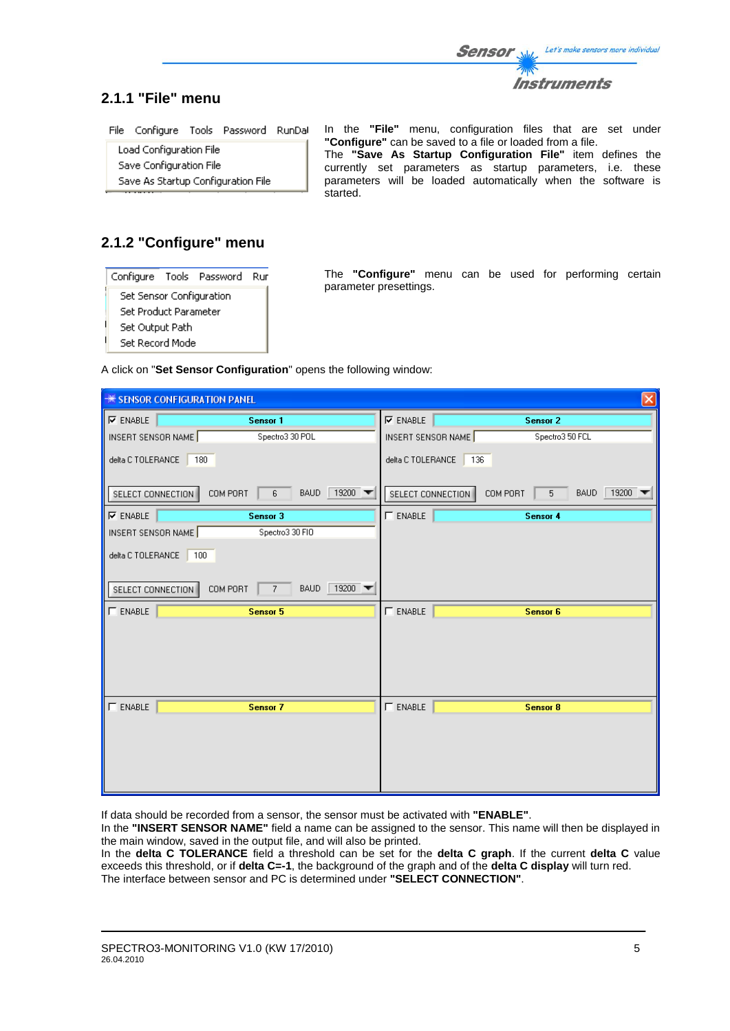

### **2.1.1 "File" menu**

File Configure Tools Password RunDal

Load Configuration File Save Configuration File Save As Startup Configuration File In the **"File"** menu, configuration files that are set under **"Configure"** can be saved to a file or loaded from a file. The **"Save As Startup Configuration File"** item defines the currently set parameters as startup parameters, i.e. these parameters will be loaded automatically when the software is started.

# **2.1.2 "Configure" menu**

|                          |  | Configure Tools Password | Rur |
|--------------------------|--|--------------------------|-----|
| Set Sensor Configuration |  |                          |     |
| Set Product Parameter    |  |                          |     |
| Set Output Path          |  |                          |     |
| Set Record Mode          |  |                          |     |

The **"Configure"** menu can be used for performing certain parameter presettings.

A click on "**Set Sensor Configuration**" opens the following window:

| $\overline{\mathsf{x}}$<br><b>** SENSOR CONFIGURATION PANEL</b>         |                    |  |  |  |
|-------------------------------------------------------------------------|--------------------|--|--|--|
| $\nabla$ ENABLE                                                         | $\nabla$ ENABLE    |  |  |  |
| Sensor 1                                                                | <b>Sensor 2</b>    |  |  |  |
| INSERT SENSOR NAME                                                      | Spectro3 50 FCL    |  |  |  |
| Spectro3 30 POL                                                         | INSERT SENSOR NAME |  |  |  |
| delta C TOLERANCE                                                       | delta C TOLERANCE  |  |  |  |
| 180                                                                     | 136                |  |  |  |
| 19200                                                                   | 19200 $\sqrt{ }$   |  |  |  |
| SELECT CONNECTION                                                       | SELECT CONNECTION  |  |  |  |
| COM PORT                                                                | COM PORT           |  |  |  |
| <b>BAUD</b>                                                             | <b>BAUD</b>        |  |  |  |
| 6                                                                       | 5 <sup>1</sup>     |  |  |  |
| $\nabla$ ENABLE                                                         | $\Gamma$ ENABLE    |  |  |  |
| Sensor 3                                                                | Sensor 4           |  |  |  |
| INSERT SENSOR NAME<br>Spectro3 30 FIO                                   |                    |  |  |  |
| delta C TOLERANCE<br>100                                                |                    |  |  |  |
| 19200<br>SELECT CONNECTION<br><b>BAUD</b><br>COM PORT<br>$\overline{7}$ |                    |  |  |  |
| $\Gamma$ ENABLE                                                         | $\Gamma$ ENABLE    |  |  |  |
| Sensor 5                                                                | Sensor 6           |  |  |  |
|                                                                         |                    |  |  |  |
| $\Gamma$ ENABLE                                                         | $\Gamma$ ENABLE    |  |  |  |
| Sensor 7                                                                | <b>Sensor 8</b>    |  |  |  |
|                                                                         |                    |  |  |  |

If data should be recorded from a sensor, the sensor must be activated with **"ENABLE"**.

In the **"INSERT SENSOR NAME"** field a name can be assigned to the sensor. This name will then be displayed in the main window, saved in the output file, and will also be printed.

In the **delta C TOLERANCE** field a threshold can be set for the **delta C graph**. If the current **delta C** value exceeds this threshold, or if **delta C=-1**, the background of the graph and of the **delta C display** will turn red. The interface between sensor and PC is determined under **"SELECT CONNECTION"**.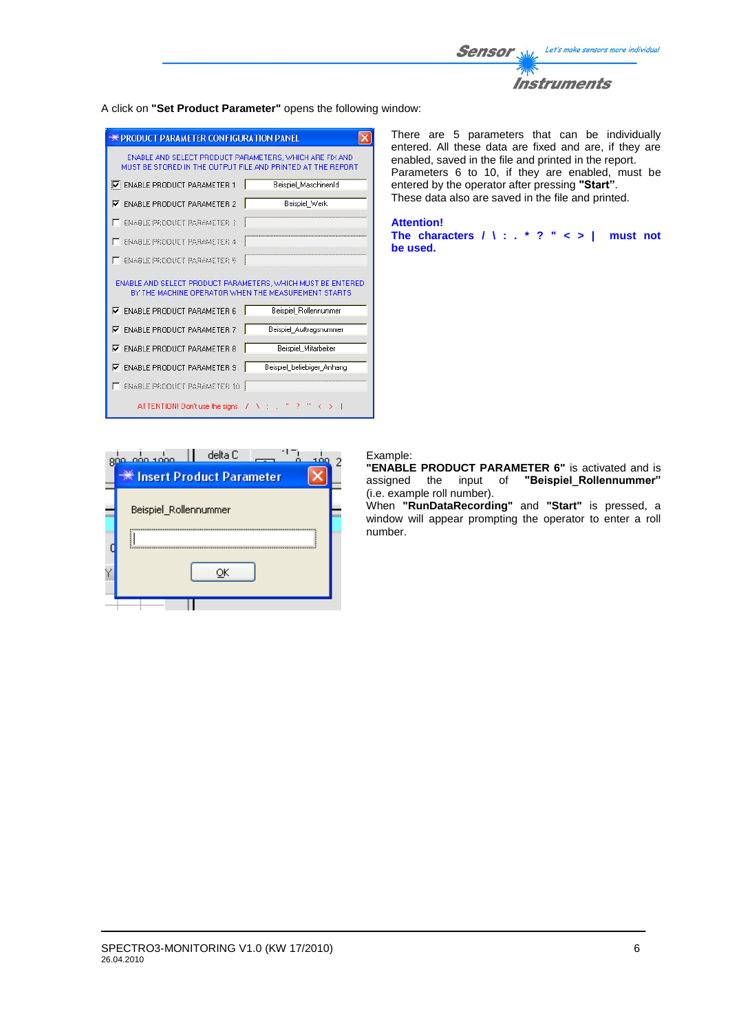

#### A click on **"Set Product Parameter"** opens the following window:

| <b>WE PRODUCT PARAMETER CONFIGURATION PANEL</b>                                                                        |
|------------------------------------------------------------------------------------------------------------------------|
| ENABLE AND SELECT PRODUCT PARAMETERS, WHICH ARE FIX AND<br>MUST BE STORED IN THE OUTPUT FILE AND PRINTED AT THE REPORT |
| <b>V: ENABLE PRODUCT PARAMETER 1</b><br>Beispiel MaschinenId                                                           |
| Beispiel Werk<br><b>ENABLE PRODUCT PARAMETER 2</b><br>⊽                                                                |
| <b>ENABLE PRODUCT PARAMETER 3</b>                                                                                      |
| <b>FNABLE PRODUCT PORAMETER 4</b>                                                                                      |
| FNARLE PRODUCT PORAMETER 5                                                                                             |
| ENABLE AND SELECT PRODUCT PARAMETERS. WHICH MUST BE ENTERED<br>BY THE MACHINE OPERATOR WHEN THE MEASUREMENT STARTS     |
| Beispiel Rollennummer<br><b>ENABLE PRODUCT PARAMETER 6</b><br>⊽                                                        |
| <b>ENABLE PRODUCT PARAMETER 7</b><br>Beispiel Auftragsnummer<br>⊽                                                      |
| Beispiel Mitarbeiter<br><b>ENABLE PRODUCT PARAMETER 8</b><br>⊽                                                         |
| Beispiel beliebiger Anhang<br><b>ENABLE PRODUCT PARAMETER 9</b><br>⊽                                                   |
| <b>ENABLE PRODUCT PARAMETER 10</b>                                                                                     |
| ATTENTION! Don't use the signs $\forall$ $\forall$ :                                                                   |

نداد ممد  $\overline{c}$ Insert Product Parameter  $\times$ Beispiel\_Rollennummer Y ōĸ

There are 5 parameters that can be individually entered. All these data are fixed and are, if they are enabled, saved in the file and printed in the report. Parameters 6 to 10, if they are enabled, must be entered by the operator after pressing **"Start"**. These data also are saved in the file and printed.

#### **Attention!**

**The characters / \ : . \* ? " < > | must not be used.**

#### Example:

**"ENABLE PRODUCT PARAMETER 6"** is activated and is assigned the input of **"Beispiel\_Rollennummer"** (i.e. example roll number).

When **"RunDataRecording"** and **"Start"** is pressed, a window will appear prompting the operator to enter a roll number.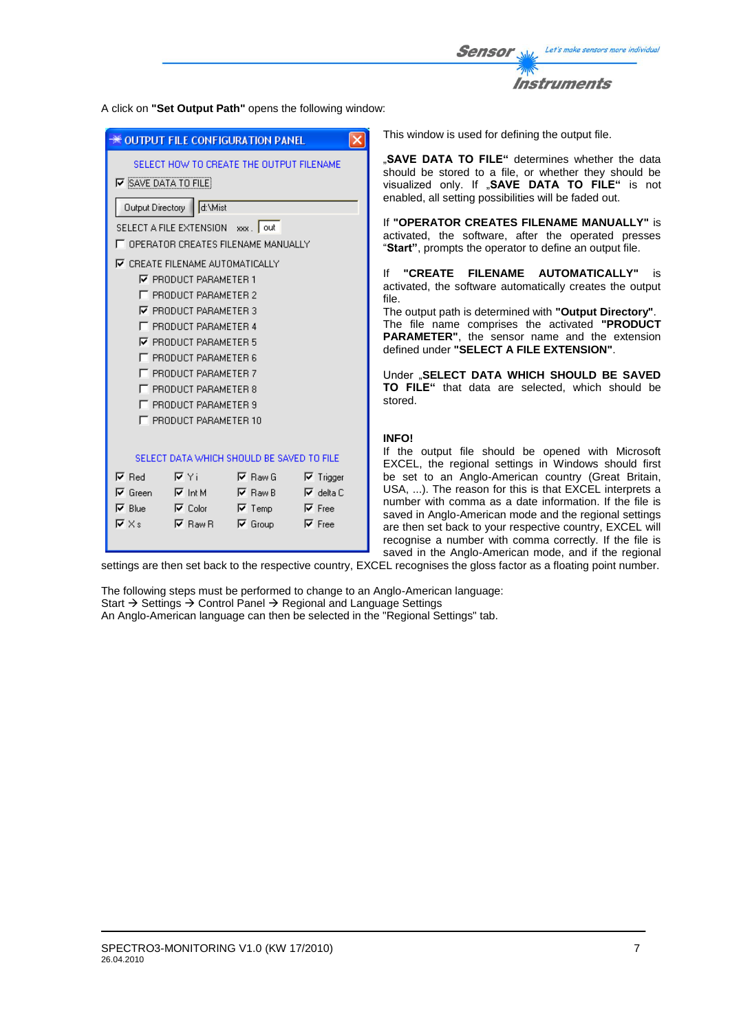Let's make sensors more individual Sensor Instruments

A click on **"Set Output Path"** opens the following window:

|                                                                   |                                                                           | ×                                                                                                                                                                                                                                                                                                                                                                                          | This window is used for defining                                                                                                                                                                                                                                                                                            |
|-------------------------------------------------------------------|---------------------------------------------------------------------------|--------------------------------------------------------------------------------------------------------------------------------------------------------------------------------------------------------------------------------------------------------------------------------------------------------------------------------------------------------------------------------------------|-----------------------------------------------------------------------------------------------------------------------------------------------------------------------------------------------------------------------------------------------------------------------------------------------------------------------------|
| <b>V</b> SAVE DATA TO FILE)                                       |                                                                           |                                                                                                                                                                                                                                                                                                                                                                                            | "SAVE DATA TO FILE" deter<br>should be stored to a file, or<br>visualized only. If "SAVE D.<br>enabled, all setting possibilities<br>If "OPERATOR CREATES FIL<br>activated, the software, after                                                                                                                             |
|                                                                   |                                                                           |                                                                                                                                                                                                                                                                                                                                                                                            | "Start", prompts the operator to<br><b>"CREATE</b><br><b>FILENAME</b><br>Ιf<br>activated, the software automa<br>file.<br>The output path is determined w<br>The file name comprises the<br>PARAMETER", the sensor na<br>defined under "SELECT A FILE<br>Under "SELECT DATA WHICH<br>TO FILE" that data are sele<br>stored. |
| $\nabla$ Yi<br>$\nabla$ Int M<br>$\nabla$ Color<br>$\nabla$ Raw R | $\nabla$ Raw G<br>$\nabla$ Raw B<br>$\overline{V}$ Temp<br>$\nabla$ Group | $\nabla$ Trigger<br>$\nabla$ delta C<br>$\nabla$ Free<br>$\nabla$ Free                                                                                                                                                                                                                                                                                                                     | <b>INFO!</b><br>If the output file should be<br>EXCEL, the regional settings<br>be set to an Anglo-American<br>USA, ). The reason for this is<br>number with comma as a date<br>saved in Anglo-American mode<br>are then set back to your respee<br>recognise a number with comn<br>saved in the Anglo-American n           |
|                                                                   |                                                                           | Output Directory   d:\Mist<br>SELECT A FILE EXTENSION xxx.   out<br><b>▽ CREATE FILENAME AUTOMATICALLY</b><br><b>▽ PRODUCT PARAMETER 1</b><br>F PRODUCT PARAMETER 2<br>$\nabla$ PRODUCT PARAMETER 3<br>F PRODUCT PARAMETER 4<br><b>▽ PRODUCT PARAMETER 5</b><br>F PRODUCT PARAMETER 6<br>F PRODUCT PARAMETER 7<br>F PRODUCT PARAMETER 8<br>F PRODUCT PARAMETER 9<br>F PRODUCT PARAMETER 10 | <del>※</del> OUTPUT FILE CONFIGURATION PANEL<br>SELECT HOW TO CREATE THE OUTPUT FILENAME<br>T OPERATOR CREATES FILENAME MANUALLY<br>SELECT DATA WHICH SHOULD BE SAVED TO FILE<br>settings are then set back to the respective country. EXCEL recognises the gloss factor as                                                 |

the output file.

rmines whether the data whether they should be **ATA TO FILE**" is not will be faded out.

**ENAME MANUALLY"** is the operated presses define an output file.

**AUTOMATICALLY"** is tically creates the output

vith "**Output Directory"** The file name comprises the activated **"PRODUCT**  ame and the extension  $E$  EXTENSION".

**H SHOULD BE SAVED** ected, which should be

opened with Microsoft in Windows should first country (Great Britain, that EXCEL interprets a information. If the file is and the regional settings ctive country, EXCEL will ma correctly. If the file is node, and if the regional

igs are then set back to the respective country, EXCEL recognises the gloss factor as a floating point number.

The following steps must be performed to change to an Anglo-American language: Start  $\rightarrow$  Settings  $\rightarrow$  Control Panel  $\rightarrow$  Regional and Language Settings An Anglo-American language can then be selected in the "Regional Settings" tab.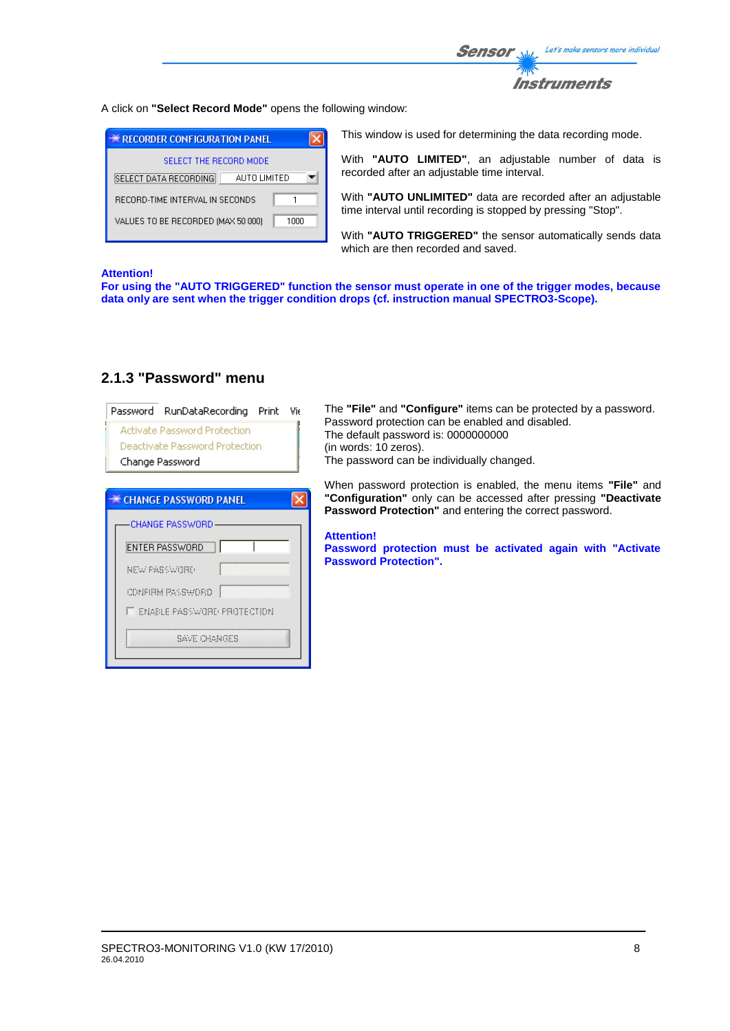

A click on **"Select Record Mode"** opens the following window:

| <b>** RECORDER CONFIGURATION PANEL</b>     |  |
|--------------------------------------------|--|
| SELECT THE RECORD MODE                     |  |
| SELECT DATA RECORDING<br>AUTO LIMITED      |  |
| BECOBD-TIME INTERVAL IN SECONDS            |  |
| VALUES TO BE RECORDED (MAX 50 000)<br>1000 |  |

This window is used for determining the data recording mode.

With **"AUTO LIMITED"**, an adjustable number of data is recorded after an adjustable time interval.

With **"AUTO UNLIMITED"** data are recorded after an adjustable time interval until recording is stopped by pressing "Stop".

With **"AUTO TRIGGERED"** the sensor automatically sends data which are then recorded and saved.

#### **Attention!**

**For using the "AUTO TRIGGERED" function the sensor must operate in one of the trigger modes, because data only are sent when the trigger condition drops (cf. instruction manual SPECTRO3-Scope).**

| Password RunDataRecording<br>Print<br>Vie<br><b>Activate Password Protection</b><br>Deactivate Password Protection<br>Change Password                                       | The "File" and "Configure" items can be protected by a password.<br>Password protection can be enabled and disabled.<br>The default password is: 0000000000<br>(in words: 10 zeros).<br>The password can be individually changed.                                                                                         |
|-----------------------------------------------------------------------------------------------------------------------------------------------------------------------------|---------------------------------------------------------------------------------------------------------------------------------------------------------------------------------------------------------------------------------------------------------------------------------------------------------------------------|
| <b>** CHANGE PASSWORD PANEL</b><br><b>CHANGE PASSWORD</b><br><b>ENTER PASSWORD</b><br>NEW PASSWORD<br>CONFIRM PASSWORD.<br><b>FUELD PASSWORD PROTECTION</b><br>SAVE CHONGES | When password protection is enabled, the menu items "File" and<br>"Configuration" only can be accessed after pressing "Deactivate"<br><b>Password Protection</b> " and entering the correct password.<br><b>Attention!</b><br>Password protection must be activated again with "Activate"<br><b>Password Protection".</b> |

### **2.1.3 "Password" menu**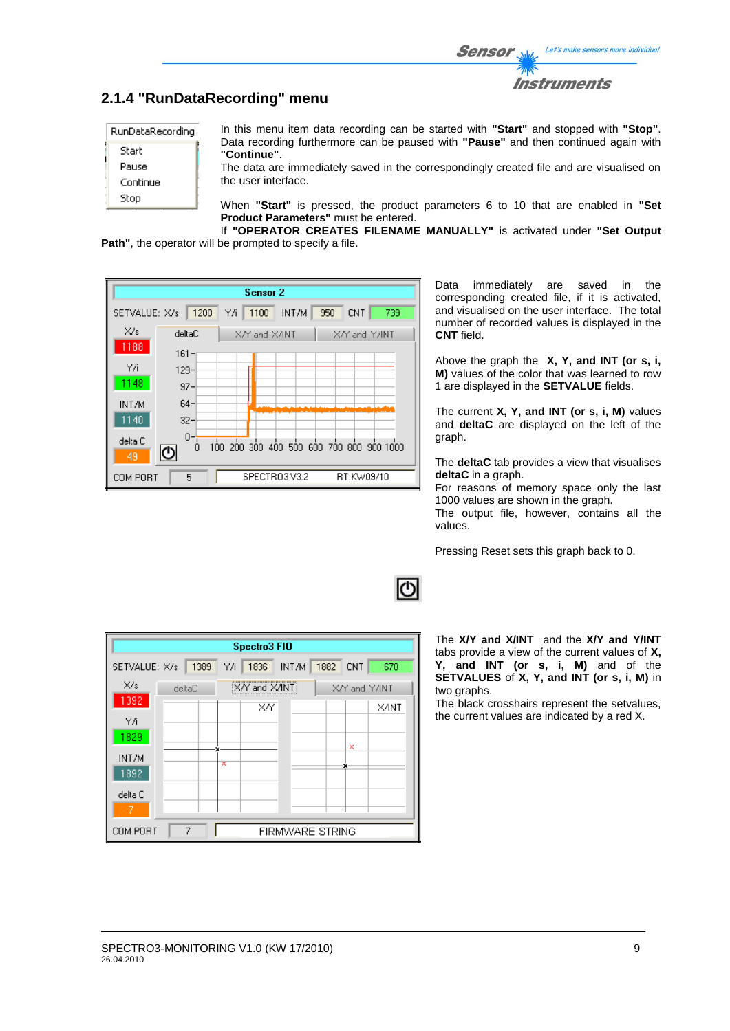

## **2.1.4 "RunDataRecording" menu**

| RunDataRecording |
|------------------|
| Start            |
| Pause            |
| Continue         |
| Stop             |
|                  |

In this menu item data recording can be started with **"Start"** and stopped with **"Stop"**. Data recording furthermore can be paused with **"Pause"** and then continued again with **"Continue"**.

The data are immediately saved in the correspondingly created file and are visualised on the user interface.

When **"Start"** is pressed, the product parameters 6 to 10 that are enabled in **"Set Product Parameters"** must be entered.

If **"OPERATOR CREATES FILENAME MANUALLY"** is activated under **"Set Output Path"**, the operator will be prompted to specify a file.

| Sensor <sub>2</sub> |              |                                                 |  |  |
|---------------------|--------------|-------------------------------------------------|--|--|
| SETVALUE: X/s       | 1200         | 739<br>YΛ<br>1100<br>INT/M<br>950<br><b>CNT</b> |  |  |
| X/s                 | deltaC       | X/Y and X/INT<br>X/Y and Y/INT                  |  |  |
| 1188                | $161 -$      |                                                 |  |  |
| Y/i                 | $129 -$      |                                                 |  |  |
| 1148                | $97 -$       |                                                 |  |  |
| INT/M               | $64 -$       |                                                 |  |  |
| 1140                | $32 -$       |                                                 |  |  |
| delta C             | $0 - 7$<br>0 | 100 200 300 400 500 600 700 800 900 1000        |  |  |
| 49                  | ७            |                                                 |  |  |
| COM PORT            | 5            | SPECTRO3V3.2<br>RT:KW09/10                      |  |  |

Data immediately are saved in the corresponding created file, if it is activated, and visualised on the user interface. The total number of recorded values is displayed in the **CNT** field.

Above the graph the **X, Y, and INT (or s, i, M)** values of the color that was learned to row 1 are displayed in the **SETVALUE** fields.

The current **X, Y, and INT (or s, i, M)** values and **deltaC** are displayed on the left of the graph.

The **deltaC** tab provides a view that visualises **deltaC** in a graph.

For reasons of memory space only the last 1000 values are shown in the graph. The output file, however, contains all the values.

Pressing Reset sets this graph back to 0.

| Spectro3 FIO                            |                                          |    |      |       |      |            |       |
|-----------------------------------------|------------------------------------------|----|------|-------|------|------------|-------|
| SETVALUE: X/s                           | 1389                                     | ΥÆ | 1836 | INT/M | 1882 | <b>CNT</b> | 670   |
| X/s                                     | X/Y and X/INT<br>X/Y and Y/INT<br>deltaC |    |      |       |      |            |       |
| 1392                                    |                                          |    | XY   |       |      |            | X/INT |
| ΥÄ<br>1829                              |                                          |    |      |       |      |            |       |
| INT/M                                   |                                          |    |      |       |      | ×          |       |
| 1892                                    |                                          | ×  |      |       |      |            |       |
| delta C                                 |                                          |    |      |       |      |            |       |
| 7                                       |                                          |    |      |       |      |            |       |
| 7<br>COM PORT<br><b>FIRMWARE STRING</b> |                                          |    |      |       |      |            |       |

The **X/Y and X/INT** and the **X/Y and Y/INT**  tabs provide a view of the current values of **X, Y, and INT (or s, i, M)** and of the **SETVALUES** of **X, Y, and INT (or s, i, M)** in two graphs.

The black crosshairs represent the setvalues, the current values are indicated by a red X.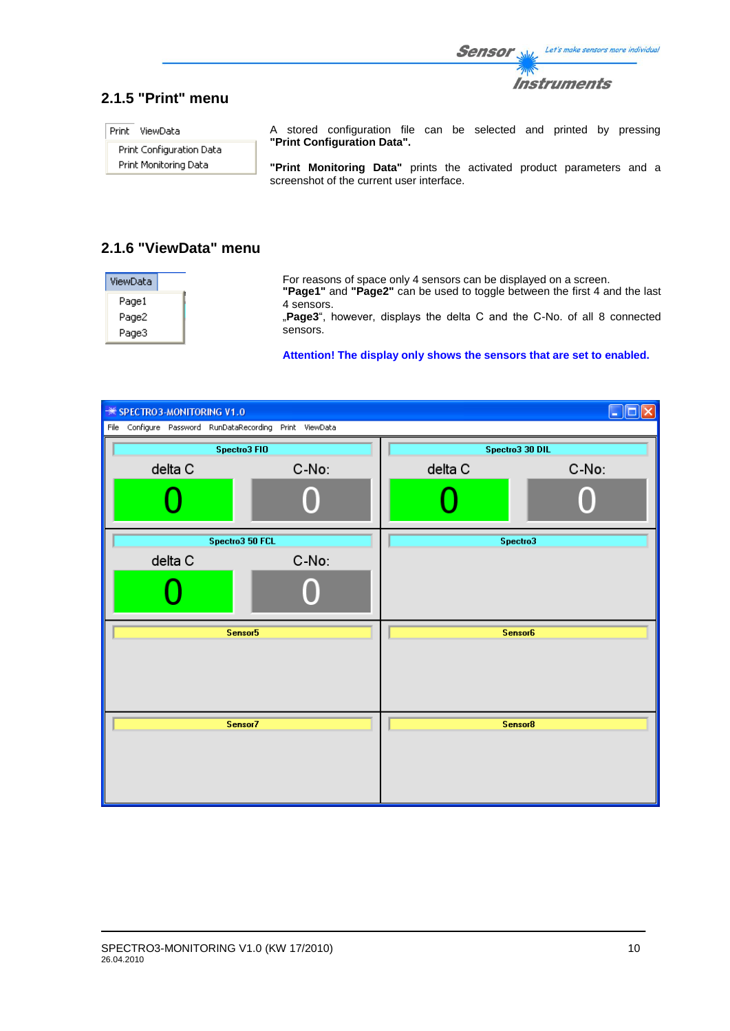

# **2.1.5 "Print" menu**

Print ViewData

Print Configuration Data Print Monitoring Data

A stored configuration file can be selected and printed by pressing **"Print Configuration Data".**

**"Print Monitoring Data"** prints the activated product parameters and a screenshot of the current user interface.

# **2.1.6 "ViewData" menu**

| ViewData | For reasons of space only 4 sensors can be displayed on a screen.<br>"Page1" and "Page2" can be used to toggle between the first 4 and the last |
|----------|-------------------------------------------------------------------------------------------------------------------------------------------------|
| Page1    | 4 sensors.                                                                                                                                      |
| Page2    | <b>Page3</b> ", however, displays the delta C and the C-No. of all 8 connected                                                                  |
| Page3    | sensors.                                                                                                                                        |

**Attention! The display only shows the sensors that are set to enabled.**

| <b><del></del> * SPECTRO3-MONITORING V1.0</b>           |       |                | u<br>п          |  |  |  |
|---------------------------------------------------------|-------|----------------|-----------------|--|--|--|
| File Configure Password RunDataRecording Print ViewData |       |                |                 |  |  |  |
| Spectro3 FIO                                            |       |                | Spectro3 30 DIL |  |  |  |
| delta C                                                 | C-No: | delta C        | C-No:           |  |  |  |
|                                                         |       |                |                 |  |  |  |
| Spectro3 50 FCL                                         |       |                | Spectro3        |  |  |  |
| delta C                                                 | C-No: |                |                 |  |  |  |
|                                                         |       |                |                 |  |  |  |
| Sensor5                                                 |       | <b>Sensor6</b> |                 |  |  |  |
|                                                         |       |                |                 |  |  |  |
| Sensor7                                                 |       | Sensor8        |                 |  |  |  |
|                                                         |       |                |                 |  |  |  |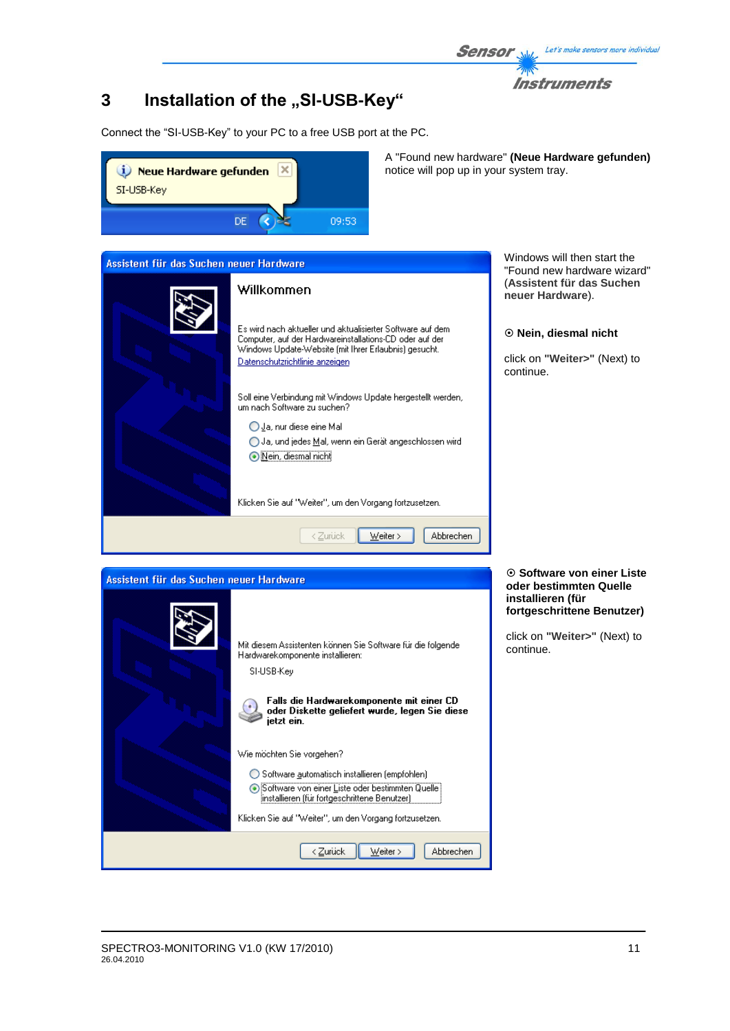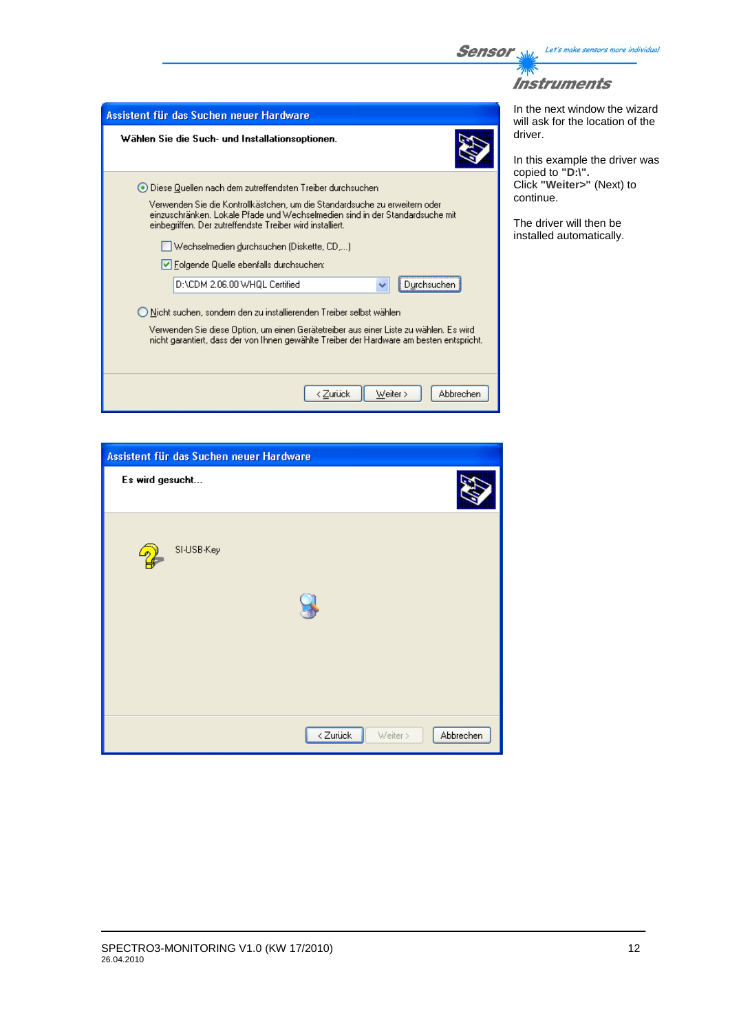

 $\mathbb{Z}$ **Instruments** 

| Assistent für das Suchen neuer Hardware                                                                                                                                                | In the next window the wizard<br>will ask for the location of the |
|----------------------------------------------------------------------------------------------------------------------------------------------------------------------------------------|-------------------------------------------------------------------|
| Wählen Sie die Such- und Installationsoptionen.                                                                                                                                        | driver.<br>In this example the driver was<br>copied to "D:\".     |
| ⊙ Diese Quellen nach dem zutreffendsten Treiber durchsuchen<br>Verwenden Sie die Kontrollkästchen, um die Standardsuche zu erweitern oder                                              | Click "Weiter>" (Next) to<br>continue.                            |
| einzuschränken. Lokale Pfade und Wechselmedien sind in der Standardsuche mit<br>einbegriffen. Der zutreffendste Treiber wird installiert.<br>Wechselmedien durchsuchen (Diskette, CD,) | The driver will then be<br>installed automatically.               |
| √ Folgende Quelle ebenfalls durchsuchen:                                                                                                                                               |                                                                   |
| D:\CDM 2.06.00 WHQL Certified<br>Durchsuchen                                                                                                                                           |                                                                   |
| ◯ Nicht suchen, sondern den zu installierenden Treiber selbst wählen                                                                                                                   |                                                                   |
| Verwenden Sie diese Option, um einen Gerätetreiber aus einer Liste zu wählen. Es wird<br>nicht garantiert, dass der von Ihnen gewählte Treiber der Hardware am besten entspricht.      |                                                                   |
| < Zurück<br>Weiter ><br>Abbrechen                                                                                                                                                      |                                                                   |

| Assistent für das Suchen neuer Hardware |                                   |
|-----------------------------------------|-----------------------------------|
| Es wird gesucht                         |                                   |
| SI-USB-Key                              |                                   |
|                                         | < Zurück<br>Abbrechen<br>Weiter > |